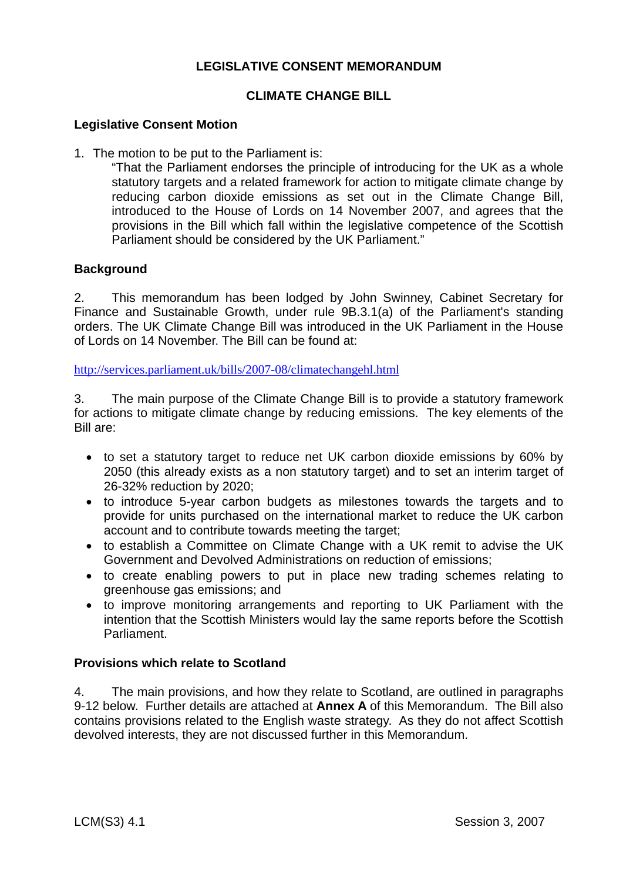## **LEGISLATIVE CONSENT MEMORANDUM**

### **CLIMATE CHANGE BILL**

#### **Legislative Consent Motion**

1. The motion to be put to the Parliament is:

"That the Parliament endorses the principle of introducing for the UK as a whole statutory targets and a related framework for action to mitigate climate change by reducing carbon dioxide emissions as set out in the Climate Change Bill, introduced to the House of Lords on 14 November 2007, and agrees that the provisions in the Bill which fall within the legislative competence of the Scottish Parliament should be considered by the UK Parliament."

#### **Background**

2. This memorandum has been lodged by John Swinney, Cabinet Secretary for Finance and Sustainable Growth, under rule 9B.3.1(a) of the Parliament's standing orders. The UK Climate Change Bill was introduced in the UK Parliament in the House of Lords on 14 November. The Bill can be found at:

http://services.parliament.uk/bills/2007-08/climatechangehl.html

3. The main purpose of the Climate Change Bill is to provide a statutory framework for actions to mitigate climate change by reducing emissions. The key elements of the Bill are:

- to set a statutory target to reduce net UK carbon dioxide emissions by 60% by 2050 (this already exists as a non statutory target) and to set an interim target of 26-32% reduction by 2020;
- to introduce 5-year carbon budgets as milestones towards the targets and to provide for units purchased on the international market to reduce the UK carbon account and to contribute towards meeting the target;
- to establish a Committee on Climate Change with a UK remit to advise the UK Government and Devolved Administrations on reduction of emissions;
- to create enabling powers to put in place new trading schemes relating to greenhouse gas emissions; and
- to improve monitoring arrangements and reporting to UK Parliament with the intention that the Scottish Ministers would lay the same reports before the Scottish Parliament.

#### **Provisions which relate to Scotland**

4. The main provisions, and how they relate to Scotland, are outlined in paragraphs 9-12 below. Further details are attached at **Annex A** of this Memorandum. The Bill also contains provisions related to the English waste strategy. As they do not affect Scottish devolved interests, they are not discussed further in this Memorandum.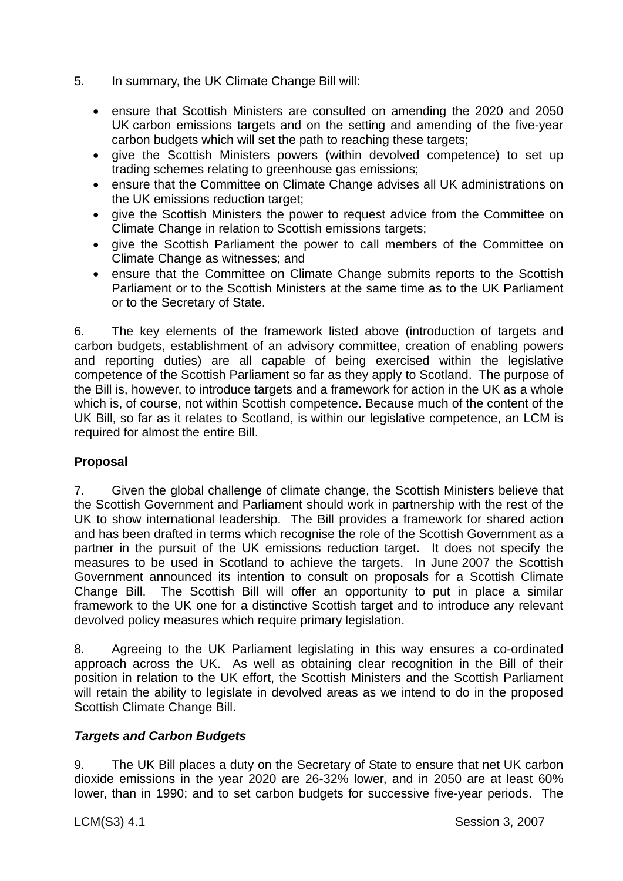- 5. In summary, the UK Climate Change Bill will:
	- ensure that Scottish Ministers are consulted on amending the 2020 and 2050 UK carbon emissions targets and on the setting and amending of the five-year carbon budgets which will set the path to reaching these targets;
	- give the Scottish Ministers powers (within devolved competence) to set up trading schemes relating to greenhouse gas emissions;
	- ensure that the Committee on Climate Change advises all UK administrations on the UK emissions reduction target;
	- give the Scottish Ministers the power to request advice from the Committee on Climate Change in relation to Scottish emissions targets;
	- give the Scottish Parliament the power to call members of the Committee on Climate Change as witnesses; and
	- ensure that the Committee on Climate Change submits reports to the Scottish Parliament or to the Scottish Ministers at the same time as to the UK Parliament or to the Secretary of State.

6. The key elements of the framework listed above (introduction of targets and carbon budgets, establishment of an advisory committee, creation of enabling powers and reporting duties) are all capable of being exercised within the legislative competence of the Scottish Parliament so far as they apply to Scotland. The purpose of the Bill is, however, to introduce targets and a framework for action in the UK as a whole which is, of course, not within Scottish competence. Because much of the content of the UK Bill, so far as it relates to Scotland, is within our legislative competence, an LCM is required for almost the entire Bill.

# **Proposal**

7. Given the global challenge of climate change, the Scottish Ministers believe that the Scottish Government and Parliament should work in partnership with the rest of the UK to show international leadership. The Bill provides a framework for shared action and has been drafted in terms which recognise the role of the Scottish Government as a partner in the pursuit of the UK emissions reduction target. It does not specify the measures to be used in Scotland to achieve the targets. In June 2007 the Scottish Government announced its intention to consult on proposals for a Scottish Climate Change Bill. The Scottish Bill will offer an opportunity to put in place a similar framework to the UK one for a distinctive Scottish target and to introduce any relevant devolved policy measures which require primary legislation.

8. Agreeing to the UK Parliament legislating in this way ensures a co-ordinated approach across the UK. As well as obtaining clear recognition in the Bill of their position in relation to the UK effort, the Scottish Ministers and the Scottish Parliament will retain the ability to legislate in devolved areas as we intend to do in the proposed Scottish Climate Change Bill.

### *Targets and Carbon Budgets*

9. The UK Bill places a duty on the Secretary of State to ensure that net UK carbon dioxide emissions in the year 2020 are 26-32% lower, and in 2050 are at least 60% lower, than in 1990; and to set carbon budgets for successive five-year periods. The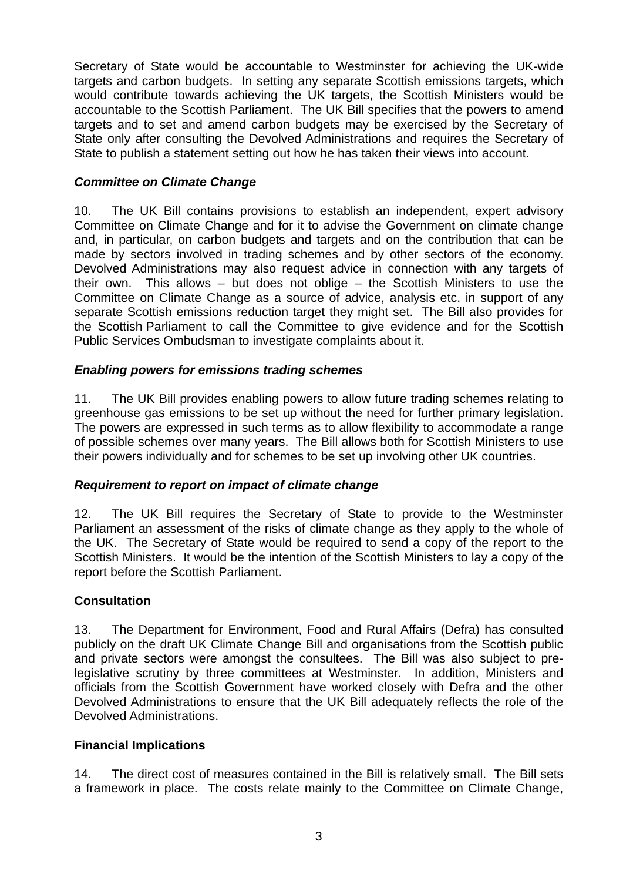Secretary of State would be accountable to Westminster for achieving the UK-wide targets and carbon budgets. In setting any separate Scottish emissions targets, which would contribute towards achieving the UK targets, the Scottish Ministers would be accountable to the Scottish Parliament. The UK Bill specifies that the powers to amend targets and to set and amend carbon budgets may be exercised by the Secretary of State only after consulting the Devolved Administrations and requires the Secretary of State to publish a statement setting out how he has taken their views into account.

# *Committee on Climate Change*

10. The UK Bill contains provisions to establish an independent, expert advisory Committee on Climate Change and for it to advise the Government on climate change and, in particular, on carbon budgets and targets and on the contribution that can be made by sectors involved in trading schemes and by other sectors of the economy. Devolved Administrations may also request advice in connection with any targets of their own. This allows – but does not oblige – the Scottish Ministers to use the Committee on Climate Change as a source of advice, analysis etc. in support of any separate Scottish emissions reduction target they might set. The Bill also provides for the Scottish Parliament to call the Committee to give evidence and for the Scottish Public Services Ombudsman to investigate complaints about it.

### *Enabling powers for emissions trading schemes*

11. The UK Bill provides enabling powers to allow future trading schemes relating to greenhouse gas emissions to be set up without the need for further primary legislation. The powers are expressed in such terms as to allow flexibility to accommodate a range of possible schemes over many years. The Bill allows both for Scottish Ministers to use their powers individually and for schemes to be set up involving other UK countries.

### *Requirement to report on impact of climate change*

12. The UK Bill requires the Secretary of State to provide to the Westminster Parliament an assessment of the risks of climate change as they apply to the whole of the UK. The Secretary of State would be required to send a copy of the report to the Scottish Ministers. It would be the intention of the Scottish Ministers to lay a copy of the report before the Scottish Parliament.

### **Consultation**

13. The Department for Environment, Food and Rural Affairs (Defra) has consulted publicly on the draft UK Climate Change Bill and organisations from the Scottish public and private sectors were amongst the consultees. The Bill was also subject to prelegislative scrutiny by three committees at Westminster. In addition, Ministers and officials from the Scottish Government have worked closely with Defra and the other Devolved Administrations to ensure that the UK Bill adequately reflects the role of the Devolved Administrations.

### **Financial Implications**

14. The direct cost of measures contained in the Bill is relatively small. The Bill sets a framework in place. The costs relate mainly to the Committee on Climate Change,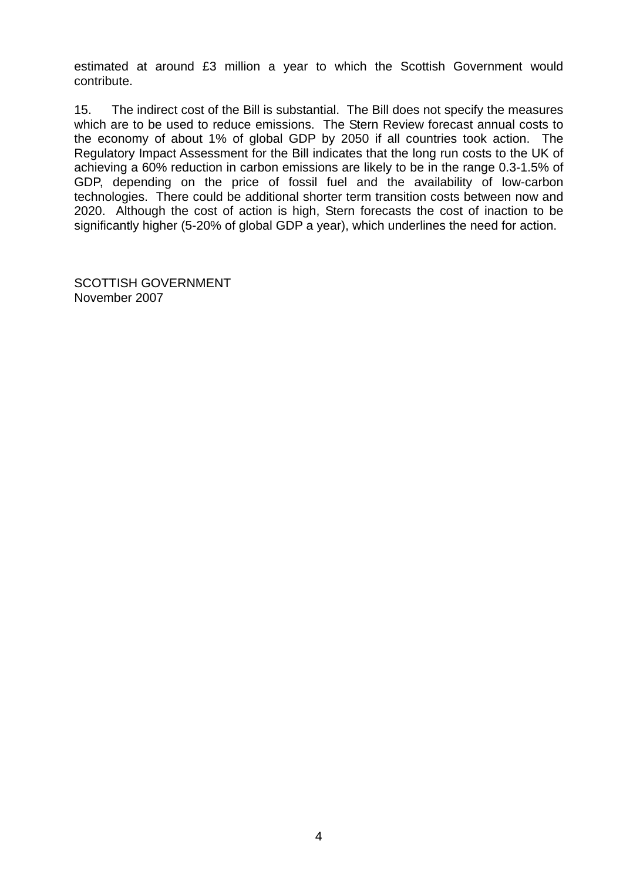estimated at around £3 million a year to which the Scottish Government would contribute.

15. The indirect cost of the Bill is substantial. The Bill does not specify the measures which are to be used to reduce emissions. The Stern Review forecast annual costs to the economy of about 1% of global GDP by 2050 if all countries took action. The Regulatory Impact Assessment for the Bill indicates that the long run costs to the UK of achieving a 60% reduction in carbon emissions are likely to be in the range 0.3-1.5% of GDP, depending on the price of fossil fuel and the availability of low-carbon technologies. There could be additional shorter term transition costs between now and 2020. Although the cost of action is high, Stern forecasts the cost of inaction to be significantly higher (5-20% of global GDP a year), which underlines the need for action.

SCOTTISH GOVERNMENT November 2007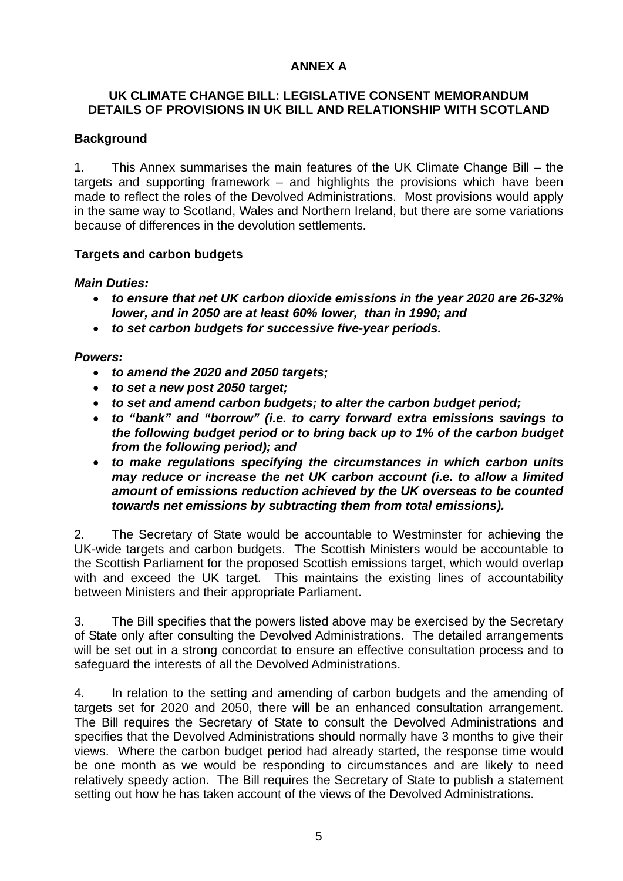## **ANNEX A**

## **UK CLIMATE CHANGE BILL: LEGISLATIVE CONSENT MEMORANDUM DETAILS OF PROVISIONS IN UK BILL AND RELATIONSHIP WITH SCOTLAND**

## **Background**

1. This Annex summarises the main features of the UK Climate Change Bill – the targets and supporting framework – and highlights the provisions which have been made to reflect the roles of the Devolved Administrations. Most provisions would apply in the same way to Scotland, Wales and Northern Ireland, but there are some variations because of differences in the devolution settlements.

### **Targets and carbon budgets**

### *Main Duties:*

- *to ensure that net UK carbon dioxide emissions in the year 2020 are 26-32% lower, and in 2050 are at least 60% lower, than in 1990; and*
- *to set carbon budgets for successive five-year periods.*

*Powers:* 

- *to amend the 2020 and 2050 targets;*
- *to set a new post 2050 target;*
- *to set and amend carbon budgets; to alter the carbon budget period;*
- *to "bank" and "borrow" (i.e. to carry forward extra emissions savings to the following budget period or to bring back up to 1% of the carbon budget from the following period); and*
- *to make regulations specifying the circumstances in which carbon units may reduce or increase the net UK carbon account (i.e. to allow a limited amount of emissions reduction achieved by the UK overseas to be counted towards net emissions by subtracting them from total emissions).*

2. The Secretary of State would be accountable to Westminster for achieving the UK-wide targets and carbon budgets. The Scottish Ministers would be accountable to the Scottish Parliament for the proposed Scottish emissions target, which would overlap with and exceed the UK target. This maintains the existing lines of accountability between Ministers and their appropriate Parliament.

3. The Bill specifies that the powers listed above may be exercised by the Secretary of State only after consulting the Devolved Administrations. The detailed arrangements will be set out in a strong concordat to ensure an effective consultation process and to safeguard the interests of all the Devolved Administrations.

4. In relation to the setting and amending of carbon budgets and the amending of targets set for 2020 and 2050, there will be an enhanced consultation arrangement. The Bill requires the Secretary of State to consult the Devolved Administrations and specifies that the Devolved Administrations should normally have 3 months to give their views. Where the carbon budget period had already started, the response time would be one month as we would be responding to circumstances and are likely to need relatively speedy action. The Bill requires the Secretary of State to publish a statement setting out how he has taken account of the views of the Devolved Administrations.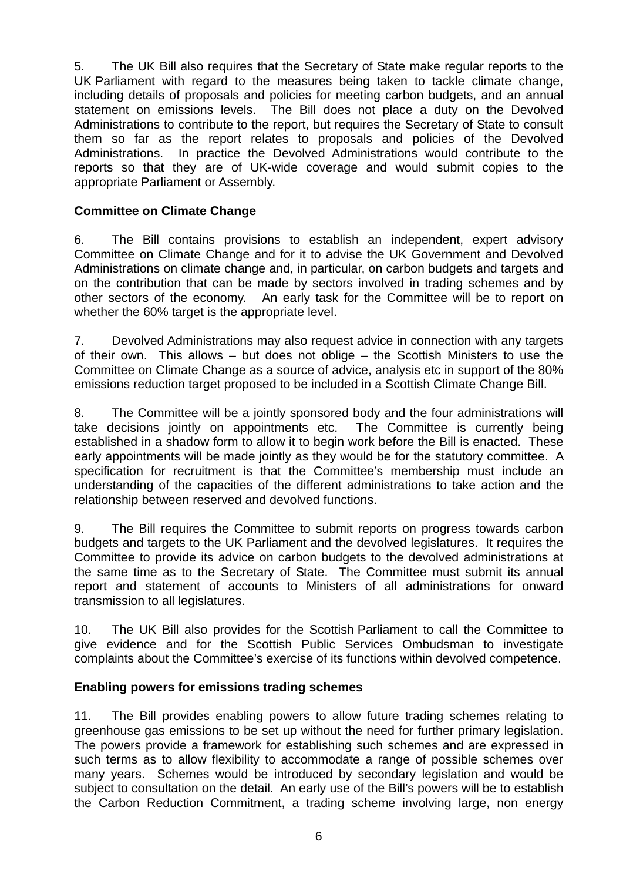5. The UK Bill also requires that the Secretary of State make regular reports to the UK Parliament with regard to the measures being taken to tackle climate change, including details of proposals and policies for meeting carbon budgets, and an annual statement on emissions levels. The Bill does not place a duty on the Devolved Administrations to contribute to the report, but requires the Secretary of State to consult them so far as the report relates to proposals and policies of the Devolved Administrations. In practice the Devolved Administrations would contribute to the reports so that they are of UK-wide coverage and would submit copies to the appropriate Parliament or Assembly.

## **Committee on Climate Change**

6. The Bill contains provisions to establish an independent, expert advisory Committee on Climate Change and for it to advise the UK Government and Devolved Administrations on climate change and, in particular, on carbon budgets and targets and on the contribution that can be made by sectors involved in trading schemes and by other sectors of the economy. An early task for the Committee will be to report on whether the 60% target is the appropriate level.

7. Devolved Administrations may also request advice in connection with any targets of their own. This allows – but does not oblige – the Scottish Ministers to use the Committee on Climate Change as a source of advice, analysis etc in support of the 80% emissions reduction target proposed to be included in a Scottish Climate Change Bill.

8. The Committee will be a jointly sponsored body and the four administrations will take decisions jointly on appointments etc. The Committee is currently being established in a shadow form to allow it to begin work before the Bill is enacted. These early appointments will be made jointly as they would be for the statutory committee. A specification for recruitment is that the Committee's membership must include an understanding of the capacities of the different administrations to take action and the relationship between reserved and devolved functions.

9. The Bill requires the Committee to submit reports on progress towards carbon budgets and targets to the UK Parliament and the devolved legislatures. It requires the Committee to provide its advice on carbon budgets to the devolved administrations at the same time as to the Secretary of State. The Committee must submit its annual report and statement of accounts to Ministers of all administrations for onward transmission to all legislatures.

10. The UK Bill also provides for the Scottish Parliament to call the Committee to give evidence and for the Scottish Public Services Ombudsman to investigate complaints about the Committee's exercise of its functions within devolved competence.

### **Enabling powers for emissions trading schemes**

11. The Bill provides enabling powers to allow future trading schemes relating to greenhouse gas emissions to be set up without the need for further primary legislation. The powers provide a framework for establishing such schemes and are expressed in such terms as to allow flexibility to accommodate a range of possible schemes over many years. Schemes would be introduced by secondary legislation and would be subject to consultation on the detail. An early use of the Bill's powers will be to establish the Carbon Reduction Commitment, a trading scheme involving large, non energy